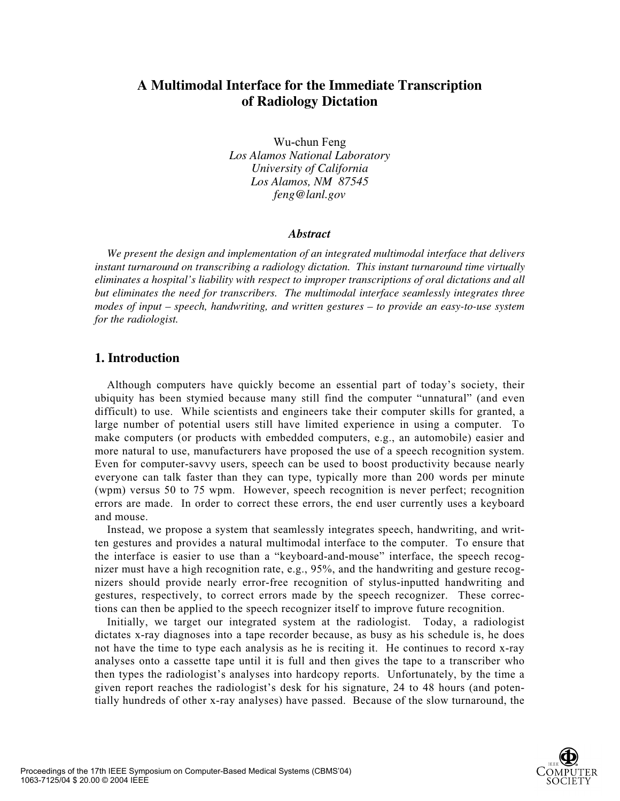# **A Multimodal Interface for the Immediate Transcription of Radiology Dictation**

Wu-chun Feng *Los Alamos National Laboratory University of California Los Alamos, NM 87545 feng@lanl.gov*

#### *Abstract*

*We present the design and implementation of an integrated multimodal interface that delivers instant turnaround on transcribing a radiology dictation. This instant turnaround time virtually eliminates a hospital's liability with respect to improper transcriptions of oral dictations and all but eliminates the need for transcribers. The multimodal interface seamlessly integrates three modes of input – speech, handwriting, and written gestures – to provide an easy-to-use system for the radiologist.* 

# **1. Introduction**

Although computers have quickly become an essential part of today's society, their ubiquity has been stymied because many still find the computer "unnatural" (and even difficult) to use. While scientists and engineers take their computer skills for granted, a large number of potential users still have limited experience in using a computer. To make computers (or products with embedded computers, e.g., an automobile) easier and more natural to use, manufacturers have proposed the use of a speech recognition system. Even for computer-savvy users, speech can be used to boost productivity because nearly everyone can talk faster than they can type, typically more than 200 words per minute (wpm) versus 50 to 75 wpm. However, speech recognition is never perfect; recognition errors are made. In order to correct these errors, the end user currently uses a keyboard and mouse.

Instead, we propose a system that seamlessly integrates speech, handwriting, and written gestures and provides a natural multimodal interface to the computer. To ensure that the interface is easier to use than a "keyboard-and-mouse" interface, the speech recognizer must have a high recognition rate, e.g., 95%, and the handwriting and gesture recognizers should provide nearly error-free recognition of stylus-inputted handwriting and gestures, respectively, to correct errors made by the speech recognizer. These corrections can then be applied to the speech recognizer itself to improve future recognition.

Initially, we target our integrated system at the radiologist. Today, a radiologist dictates x-ray diagnoses into a tape recorder because, as busy as his schedule is, he does not have the time to type each analysis as he is reciting it. He continues to record x-ray analyses onto a cassette tape until it is full and then gives the tape to a transcriber who then types the radiologist's analyses into hardcopy reports. Unfortunately, by the time a given report reaches the radiologist's desk for his signature, 24 to 48 hours (and potentially hundreds of other x-ray analyses) have passed. Because of the slow turnaround, the

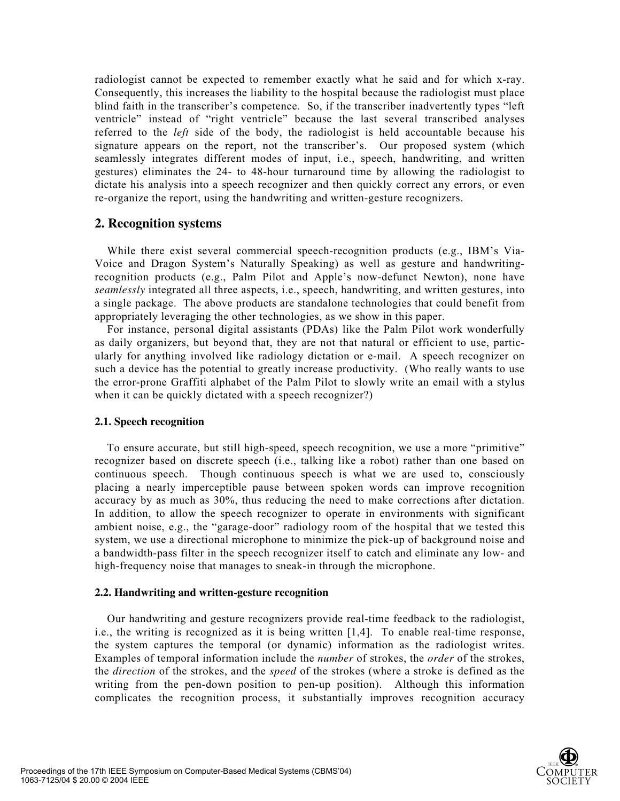radiologist cannot be expected to remember exactly what he said and for which x-ray. Consequently, this increases the liability to the hospital because the radiologist must place blind faith in the transcriber's competence. So, if the transcriber inadvertently types "left ventricle" instead of "right ventricle" because the last several transcribed analyses referred to the *left* side of the body, the radiologist is held accountable because his signature appears on the report, not the transcriber's. Our proposed system (which seamlessly integrates different modes of input, i.e., speech, handwriting, and written gestures) eliminates the 24- to 48-hour turnaround time by allowing the radiologist to dictate his analysis into a speech recognizer and then quickly correct any errors, or even re-organize the report, using the handwriting and written-gesture recognizers.

## **2. Recognition systems**

While there exist several commercial speech-recognition products (e.g., IBM's Via-Voice and Dragon System's Naturally Speaking) as well as gesture and handwritingrecognition products (e.g., Palm Pilot and Apple's now-defunct Newton), none have *seamlessly* integrated all three aspects, i.e., speech, handwriting, and written gestures, into a single package. The above products are standalone technologies that could benefit from appropriately leveraging the other technologies, as we show in this paper.

For instance, personal digital assistants (PDAs) like the Palm Pilot work wonderfully as daily organizers, but beyond that, they are not that natural or efficient to use, particularly for anything involved like radiology dictation or e-mail. A speech recognizer on such a device has the potential to greatly increase productivity. (Who really wants to use the error-prone Graffiti alphabet of the Palm Pilot to slowly write an email with a stylus when it can be quickly dictated with a speech recognizer?)

#### **2.1. Speech recognition**

To ensure accurate, but still high-speed, speech recognition, we use a more "primitive" recognizer based on discrete speech (i.e., talking like a robot) rather than one based on continuous speech. Though continuous speech is what we are used to, consciously placing a nearly imperceptible pause between spoken words can improve recognition accuracy by as much as 30%, thus reducing the need to make corrections after dictation. In addition, to allow the speech recognizer to operate in environments with significant ambient noise, e.g., the "garage-door" radiology room of the hospital that we tested this system, we use a directional microphone to minimize the pick-up of background noise and a bandwidth-pass filter in the speech recognizer itself to catch and eliminate any low- and high-frequency noise that manages to sneak-in through the microphone.

### **2.2. Handwriting and written-gesture recognition**

Our handwriting and gesture recognizers provide real-time feedback to the radiologist, i.e., the writing is recognized as it is being written [1,4]. To enable real-time response, the system captures the temporal (or dynamic) information as the radiologist writes. Examples of temporal information include the *number* of strokes, the *order* of the strokes, the *direction* of the strokes, and the *speed* of the strokes (where a stroke is defined as the writing from the pen-down position to pen-up position). Although this information complicates the recognition process, it substantially improves recognition accuracy

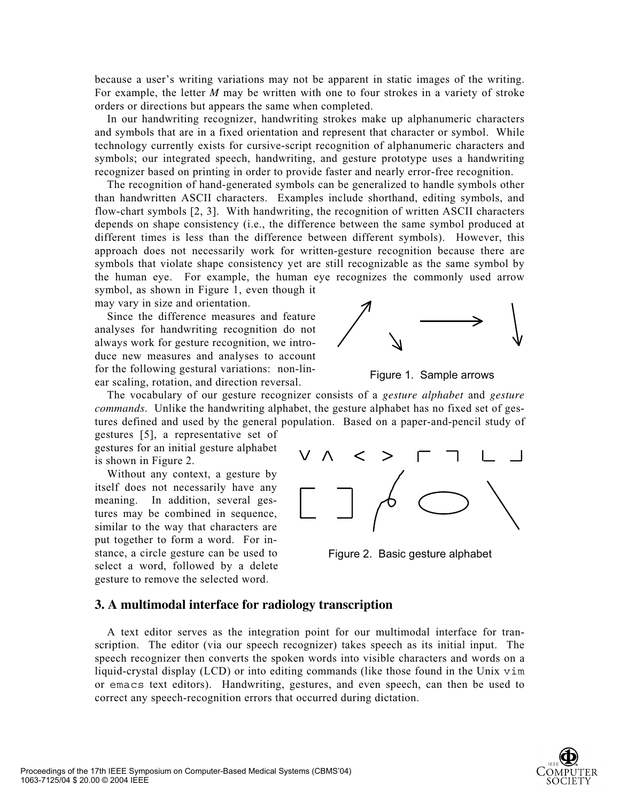because a user's writing variations may not be apparent in static images of the writing. For example, the letter *M* may be written with one to four strokes in a variety of stroke orders or directions but appears the same when completed.

In our handwriting recognizer, handwriting strokes make up alphanumeric characters and symbols that are in a fixed orientation and represent that character or symbol. While technology currently exists for cursive-script recognition of alphanumeric characters and symbols; our integrated speech, handwriting, and gesture prototype uses a handwriting recognizer based on printing in order to provide faster and nearly error-free recognition.

The recognition of hand-generated symbols can be generalized to handle symbols other than handwritten ASCII characters. Examples include shorthand, editing symbols, and flow-chart symbols [2, 3]. With handwriting, the recognition of written ASCII characters depends on shape consistency (i.e., the difference between the same symbol produced at different times is less than the difference between different symbols). However, this approach does not necessarily work for written-gesture recognition because there are symbols that violate shape consistency yet are still recognizable as the same symbol by the human eye. For example, the human eye recognizes the commonly used arrow symbol, as shown in Figure 1, even though it

may vary in size and orientation.

Since the difference measures and feature analyses for handwriting recognition do not always work for gesture recognition, we introduce new measures and analyses to account for the following gestural variations: non-linear scaling, rotation, and direction reversal.

The vocabulary of our gesture recognizer consists of a *gesture alphabet* and *gesture commands*. Unlike the handwriting alphabet, the gesture alphabet has no fixed set of gestures defined and used by the general population. Based on a paper-and-pencil study of

gestures [5], a representative set of gestures for an initial gesture alphabet is shown in Figure 2.

Without any context, a gesture by itself does not necessarily have any meaning. In addition, several gestures may be combined in sequence, similar to the way that characters are put together to form a word. For instance, a circle gesture can be used to select a word, followed by a delete gesture to remove the selected word.



Figure 1. Sample arrows

Figure 2. Basic gesture alphabet

### **3. A multimodal interface for radiology transcription**

A text editor serves as the integration point for our multimodal interface for transcription. The editor (via our speech recognizer) takes speech as its initial input. The speech recognizer then converts the spoken words into visible characters and words on a liquid-crystal display (LCD) or into editing commands (like those found in the Unix vim or emacs text editors). Handwriting, gestures, and even speech, can then be used to correct any speech-recognition errors that occurred during dictation.

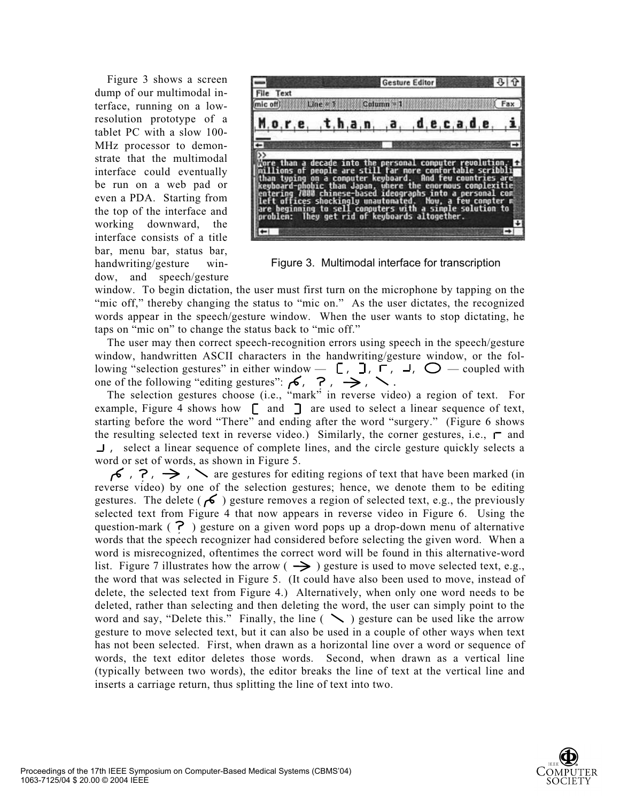Figure 3 shows a screen dump of our multimodal interface, running on a lowresolution prototype of a tablet PC with a slow 100- MHz processor to demonstrate that the multimodal interface could eventually be run on a web pad or even a PDA. Starting from the top of the interface and working downward, the interface consists of a title bar, menu bar, status bar, handwriting/gesture window, and speech/gesture



Figure 3. Multimodal interface for transcription

window. To begin dictation, the user must first turn on the microphone by tapping on the "mic off," thereby changing the status to "mic on." As the user dictates, the recognized words appear in the speech/gesture window. When the user wants to stop dictating, he taps on "mic on" to change the status back to "mic off."

The user may then correct speech-recognition errors using speech in the speech/gesture window, handwritten ASCII characters in the handwriting/gesture window, or the following "selection gestures" in either window  $-$  [, ],  $\Gamma$ ,  $\Box$ ,  $\bigcirc$   $-$  coupled with one of the following "editing gestures":  $\sigma$ ,  $\rightarrow$ ,  $\rightarrow$ ,  $\searrow$ .

The selection gestures choose (i.e., "mark" in reverse video) a region of text. For example, Figure 4 shows how  $\Gamma$  and  $\Gamma$  are used to select a linear sequence of text, starting before the word "There" and ending after the word "surgery." (Figure 6 shows the resulting selected text in reverse video.) Similarly, the corner gestures, i.e.,  $\Gamma$  and , select a linear sequence of complete lines, and the circle gesture quickly selects a word or set of words, as shown in Figure 5.

 $\sigma$ ,  $\sigma$ ,  $\rightarrow$  ,  $\searrow$  are gestures for editing regions of text that have been marked (in reverse video) by one of the selection gestures; hence, we denote them to be editing gestures. The delete ( $\sim$ ) gesture removes a region of selected text, e.g., the previously selected text from Figure 4 that now appears in reverse video in Figure 6. Using the question-mark ( $\epsilon$ ) gesture on a given word pops up a drop-down menu of alternative words that the speech recognizer had considered before selecting the given word. When a word is misrecognized, oftentimes the correct word will be found in this alternative-word list. Figure 7 illustrates how the arrow  $\Rightarrow$  ) gesture is used to move selected text, e.g., the word that was selected in Figure 5. (It could have also been used to move, instead of delete, the selected text from Figure 4.) Alternatively, when only one word needs to be deleted, rather than selecting and then deleting the word, the user can simply point to the word and say, "Delete this." Finally, the line  $(\searrow)$  gesture can be used like the arrow gesture to move selected text, but it can also be used in a couple of other ways when text has not been selected. First, when drawn as a horizontal line over a word or sequence of words, the text editor deletes those words. Second, when drawn as a vertical line (typically between two words), the editor breaks the line of text at the vertical line and inserts a carriage return, thus splitting the line of text into two.

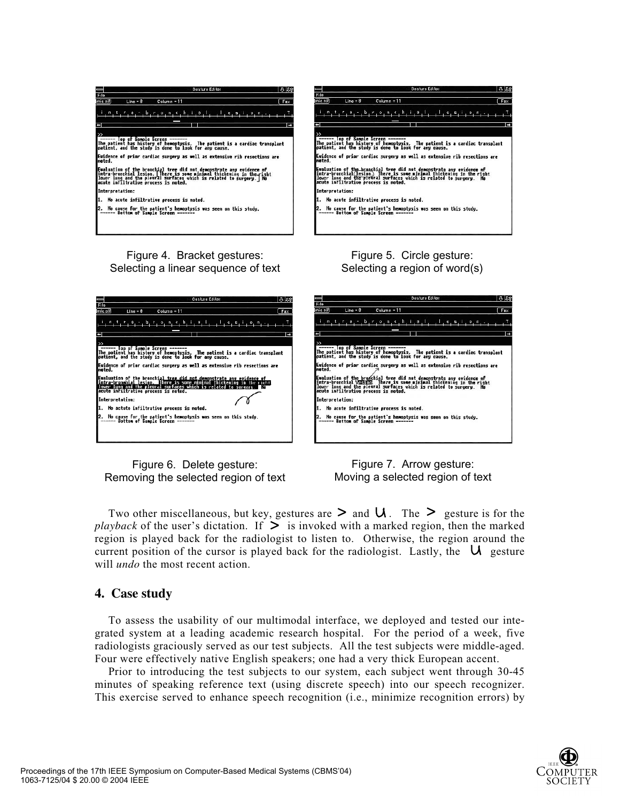

Figure 4. Bracket gestures: Selecting a linear sequence of text



Figure 6. Delete gesture: Removing the selected region of text

Figure 5. Circle gesture: Selecting a region of word(s)

**Gesture Editor** 

再加



Figure 7. Arrow gesture: Moving a selected region of text

Two other miscellaneous, but key, gestures are  $\geq$  and  $\bigcup$ . The  $\geq$  gesture is for the *playback* of the user's dictation. If  $\geq$  is invoked with a marked region, then the marked region is played back for the radiologist to listen to. Otherwise, the region around the current position of the cursor is played back for the radiologist. Lastly, the  $\mathcal{U}$  gesture will *undo* the most recent action.

### **4. Case study**

To assess the usability of our multimodal interface, we deployed and tested our integrated system at a leading academic research hospital. For the period of a week, five radiologists graciously served as our test subjects. All the test subjects were middle-aged. Four were effectively native English speakers; one had a very thick European accent.

Prior to introducing the test subjects to our system, each subject went through 30-45 minutes of speaking reference text (using discrete speech) into our speech recognizer. This exercise served to enhance speech recognition (i.e., minimize recognition errors) by